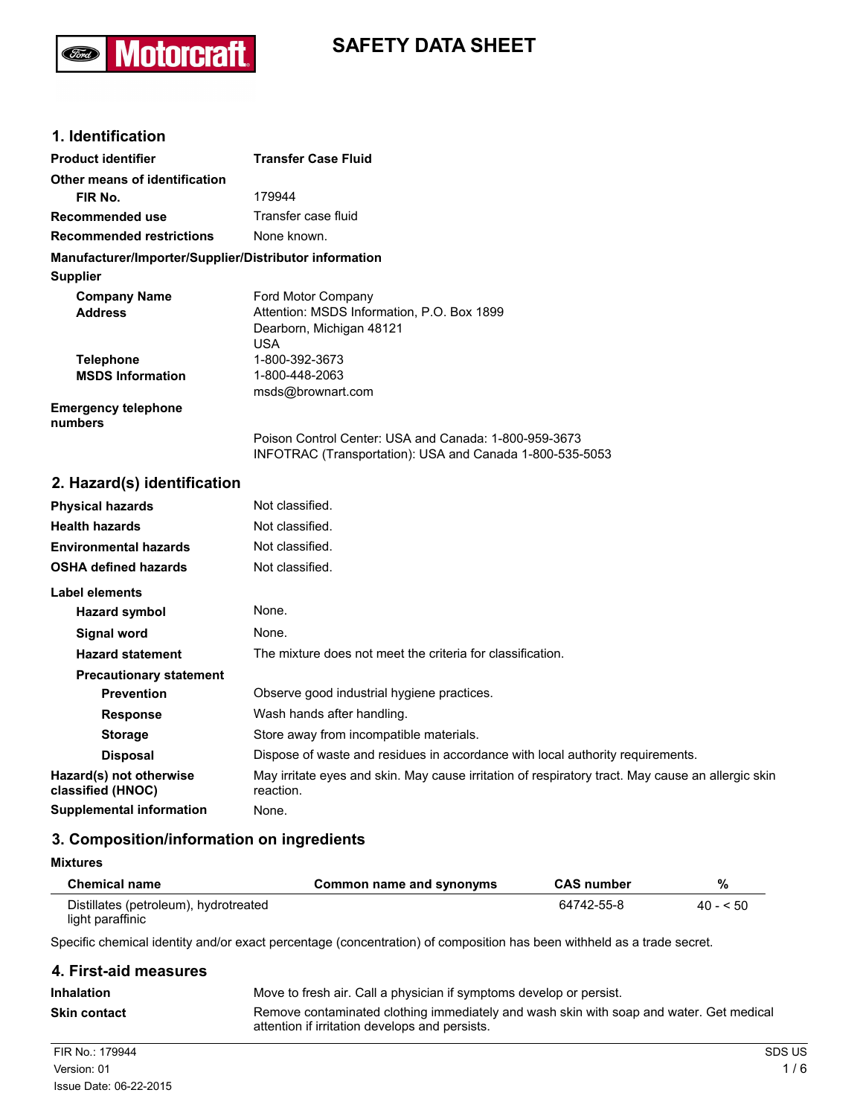

# **SAFETY DATA SHEET**

# **1. Identification**

| <b>Product identifier</b>                              | <b>Transfer Case Fluid</b>                                                                                        |
|--------------------------------------------------------|-------------------------------------------------------------------------------------------------------------------|
| Other means of identification                          |                                                                                                                   |
| FIR No.                                                | 179944                                                                                                            |
| Recommended use                                        | Transfer case fluid                                                                                               |
| <b>Recommended restrictions</b>                        | None known.                                                                                                       |
| Manufacturer/Importer/Supplier/Distributor information |                                                                                                                   |
| <b>Supplier</b>                                        |                                                                                                                   |
| <b>Company Name</b>                                    | Ford Motor Company                                                                                                |
| <b>Address</b>                                         | Attention: MSDS Information, P.O. Box 1899                                                                        |
|                                                        | Dearborn, Michigan 48121                                                                                          |
|                                                        | USA.                                                                                                              |
| <b>Telephone</b>                                       | 1-800-392-3673                                                                                                    |
| <b>MSDS Information</b>                                | 1-800-448-2063                                                                                                    |
|                                                        | msds@brownart.com                                                                                                 |
| <b>Emergency telephone</b><br>numbers                  |                                                                                                                   |
|                                                        | Poison Control Center: USA and Canada: 1-800-959-3673<br>INFOTRAC (Transportation): USA and Canada 1-800-535-5053 |

# **2. Hazard(s) identification**

| <b>Physical hazards</b>                      | Not classified.                                                                                                |
|----------------------------------------------|----------------------------------------------------------------------------------------------------------------|
| <b>Health hazards</b>                        | Not classified.                                                                                                |
| <b>Environmental hazards</b>                 | Not classified.                                                                                                |
| <b>OSHA defined hazards</b>                  | Not classified.                                                                                                |
| Label elements                               |                                                                                                                |
| Hazard symbol                                | None.                                                                                                          |
| Signal word                                  | None.                                                                                                          |
| <b>Hazard statement</b>                      | The mixture does not meet the criteria for classification.                                                     |
| <b>Precautionary statement</b>               |                                                                                                                |
| <b>Prevention</b>                            | Observe good industrial hygiene practices.                                                                     |
| <b>Response</b>                              | Wash hands after handling.                                                                                     |
| <b>Storage</b>                               | Store away from incompatible materials.                                                                        |
| <b>Disposal</b>                              | Dispose of waste and residues in accordance with local authority requirements.                                 |
| Hazard(s) not otherwise<br>classified (HNOC) | May irritate eyes and skin. May cause irritation of respiratory tract. May cause an allergic skin<br>reaction. |
| Supplemental information                     | None.                                                                                                          |

# **3. Composition/information on ingredients**

## **Mixtures**

| <b>Chemical name</b>                                      | Common name and synonyms | <b>CAS number</b> | %         |
|-----------------------------------------------------------|--------------------------|-------------------|-----------|
| Distillates (petroleum), hydrotreated<br>light paraffinic |                          | 64742-55-8        | $40 - 50$ |

Specific chemical identity and/or exact percentage (concentration) of composition has been withheld as a trade secret.

| 4. First-aid measures |                                                                                                                                           |
|-----------------------|-------------------------------------------------------------------------------------------------------------------------------------------|
| <b>Inhalation</b>     | Move to fresh air. Call a physician if symptoms develop or persist.                                                                       |
| <b>Skin contact</b>   | Remove contaminated clothing immediately and wash skin with soap and water. Get medical<br>attention if irritation develops and persists. |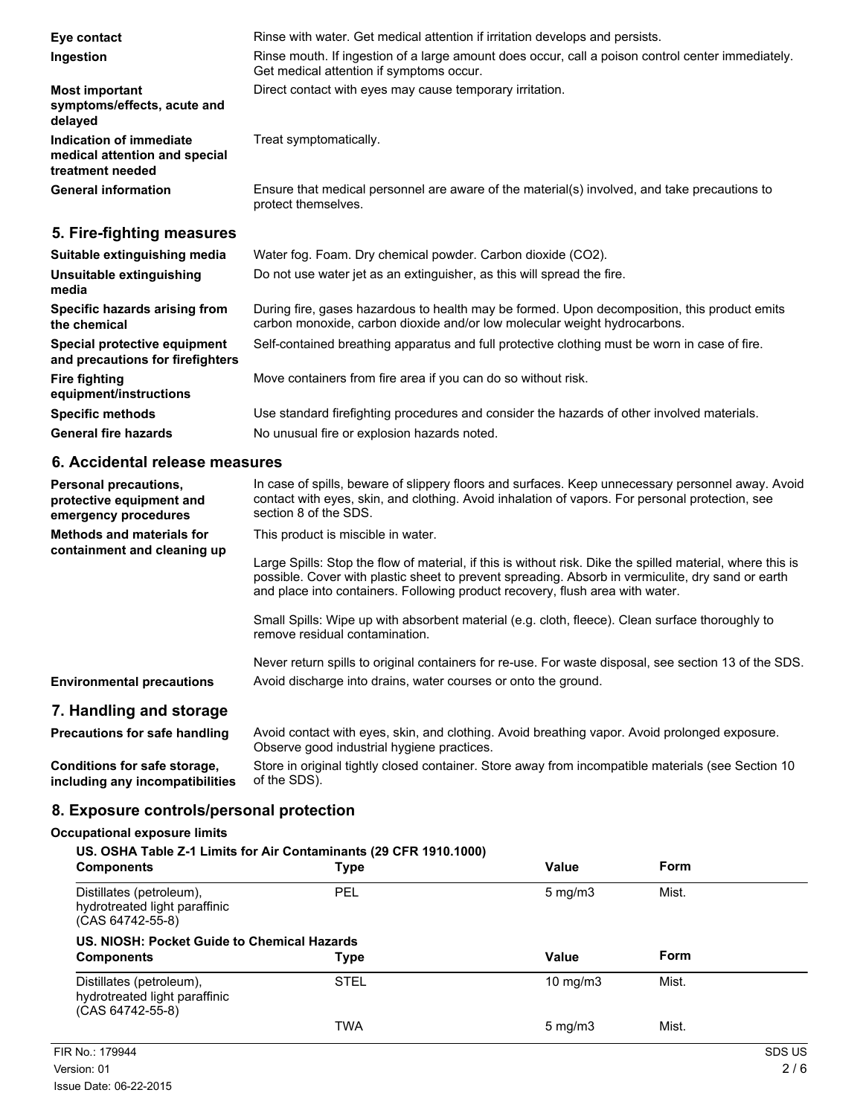| Eye contact                                                                  | Rinse with water. Get medical attention if irritation develops and persists.                                                                                              |
|------------------------------------------------------------------------------|---------------------------------------------------------------------------------------------------------------------------------------------------------------------------|
| Ingestion                                                                    | Rinse mouth. If ingestion of a large amount does occur, call a poison control center immediately.<br>Get medical attention if symptoms occur.                             |
| <b>Most important</b><br>symptoms/effects, acute and<br>delayed              | Direct contact with eyes may cause temporary irritation.                                                                                                                  |
| Indication of immediate<br>medical attention and special<br>treatment needed | Treat symptomatically.                                                                                                                                                    |
| <b>General information</b>                                                   | Ensure that medical personnel are aware of the material(s) involved, and take precautions to<br>protect themselves.                                                       |
| 5. Fire-fighting measures                                                    |                                                                                                                                                                           |
| Suitable extinguishing media                                                 | Water fog. Foam. Dry chemical powder. Carbon dioxide (CO2).                                                                                                               |
| Unsuitable extinguishing<br>media                                            | Do not use water jet as an extinguisher, as this will spread the fire.                                                                                                    |
| Specific hazards arising from<br>the chemical                                | During fire, gases hazardous to health may be formed. Upon decomposition, this product emits<br>carbon monoxide, carbon dioxide and/or low molecular weight hydrocarbons. |
| Special protective equipment<br>and precautions for firefighters             | Self-contained breathing apparatus and full protective clothing must be worn in case of fire.                                                                             |
| <b>Fire fighting</b><br>equipment/instructions                               | Move containers from fire area if you can do so without risk.                                                                                                             |
| <b>Specific methods</b>                                                      | Use standard firefighting procedures and consider the hazards of other involved materials.                                                                                |

General fire hazards **No unusual fire or explosion hazards noted.** 

## **6. Accidental release measures**

| <b>Personal precautions,</b><br>protective equipment and<br>emergency procedures | In case of spills, beware of slippery floors and surfaces. Keep unnecessary personnel away. Avoid<br>contact with eyes, skin, and clothing. Avoid inhalation of vapors. For personal protection, see<br>section 8 of the SDS.                                                                    |
|----------------------------------------------------------------------------------|--------------------------------------------------------------------------------------------------------------------------------------------------------------------------------------------------------------------------------------------------------------------------------------------------|
| <b>Methods and materials for</b><br>containment and cleaning up                  | This product is miscible in water.                                                                                                                                                                                                                                                               |
|                                                                                  | Large Spills: Stop the flow of material, if this is without risk. Dike the spilled material, where this is<br>possible. Cover with plastic sheet to prevent spreading. Absorb in vermiculite, dry sand or earth<br>and place into containers. Following product recovery, flush area with water. |
|                                                                                  | Small Spills: Wipe up with absorbent material (e.g. cloth, fleece). Clean surface thoroughly to<br>remove residual contamination.                                                                                                                                                                |
| <b>Environmental precautions</b>                                                 | Never return spills to original containers for re-use. For waste disposal, see section 13 of the SDS.<br>Avoid discharge into drains, water courses or onto the ground.                                                                                                                          |
| 7. Handling and storage                                                          |                                                                                                                                                                                                                                                                                                  |
| <b>Precautions for safe handling</b>                                             | Avoid contact with eyes, skin, and clothing. Avoid breathing vapor. Avoid prolonged exposure.<br>Observe good industrial hygiene practices.                                                                                                                                                      |

**Conditions for safe storage, including any incompatibilities** Store in original tightly closed container. Store away from incompatible materials (see Section 10 of the SDS).

# **8. Exposure controls/personal protection**

#### **Occupational exposure limits**

| US. OSHA Table Z-1 Limits for Air Contaminants (29 CFR 1910.1000)<br>Form<br>Value<br><b>Components</b><br>Type |             |                     |       |  |
|-----------------------------------------------------------------------------------------------------------------|-------------|---------------------|-------|--|
| Distillates (petroleum),<br>hydrotreated light paraffinic<br>(CAS 64742-55-8)                                   | PEL         | $5 \text{ mg/m}$    | Mist. |  |
| US. NIOSH: Pocket Guide to Chemical Hazards<br><b>Components</b>                                                | <b>Type</b> | Value               | Form  |  |
| Distillates (petroleum),<br>hydrotreated light paraffinic<br>(CAS 64742-55-8)                                   | <b>STEL</b> | $10 \text{ mg/m}$   | Mist. |  |
|                                                                                                                 | TWA         | $5 \,\mathrm{mg/m}$ | Mist. |  |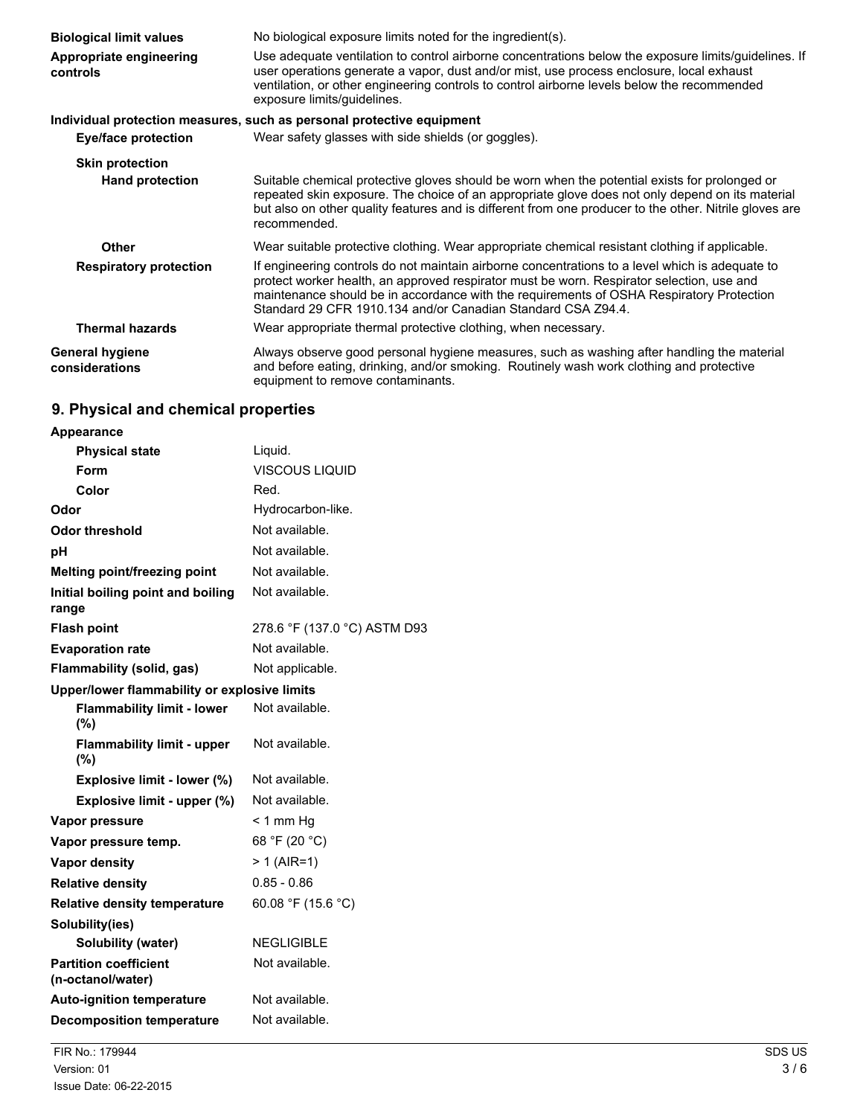| <b>Biological limit values</b>           | No biological exposure limits noted for the ingredient(s).                                                                                                                                                                                                                                                                                               |
|------------------------------------------|----------------------------------------------------------------------------------------------------------------------------------------------------------------------------------------------------------------------------------------------------------------------------------------------------------------------------------------------------------|
| Appropriate engineering<br>controls      | Use adequate ventilation to control airborne concentrations below the exposure limits/guidelines. If<br>user operations generate a vapor, dust and/or mist, use process enclosure, local exhaust<br>ventilation, or other engineering controls to control airborne levels below the recommended<br>exposure limits/quidelines.                           |
|                                          | Individual protection measures, such as personal protective equipment                                                                                                                                                                                                                                                                                    |
| <b>Eye/face protection</b>               | Wear safety glasses with side shields (or goggles).                                                                                                                                                                                                                                                                                                      |
| <b>Skin protection</b>                   |                                                                                                                                                                                                                                                                                                                                                          |
| <b>Hand protection</b>                   | Suitable chemical protective gloves should be worn when the potential exists for prolonged or<br>repeated skin exposure. The choice of an appropriate glove does not only depend on its material<br>but also on other quality features and is different from one producer to the other. Nitrile gloves are<br>recommended.                               |
| <b>Other</b>                             | Wear suitable protective clothing. Wear appropriate chemical resistant clothing if applicable.                                                                                                                                                                                                                                                           |
| <b>Respiratory protection</b>            | If engineering controls do not maintain airborne concentrations to a level which is adequate to<br>protect worker health, an approved respirator must be worn. Respirator selection, use and<br>maintenance should be in accordance with the requirements of OSHA Respiratory Protection<br>Standard 29 CFR 1910.134 and/or Canadian Standard CSA Z94.4. |
| <b>Thermal hazards</b>                   | Wear appropriate thermal protective clothing, when necessary.                                                                                                                                                                                                                                                                                            |
| <b>General hygiene</b><br>considerations | Always observe good personal hygiene measures, such as washing after handling the material<br>and before eating, drinking, and/or smoking. Routinely wash work clothing and protective<br>equipment to remove contaminants.                                                                                                                              |

# **9. Physical and chemical properties**

| <b>Appearance</b>                                 |                              |
|---------------------------------------------------|------------------------------|
| <b>Physical state</b>                             | Liquid.                      |
| Form                                              | <b>VISCOUS LIQUID</b>        |
| Color                                             | Red.                         |
| Odor                                              | Hydrocarbon-like.            |
| <b>Odor threshold</b>                             | Not available.               |
| рH                                                | Not available.               |
| Melting point/freezing point                      | Not available.               |
| Initial boiling point and boiling<br>range        | Not available.               |
| <b>Flash point</b>                                | 278.6 °F (137.0 °C) ASTM D93 |
| <b>Evaporation rate</b>                           | Not available.               |
| Flammability (solid, gas)                         | Not applicable.              |
| Upper/lower flammability or explosive limits      |                              |
| <b>Flammability limit - lower</b><br>(%)          | Not available.               |
| <b>Flammability limit - upper</b><br>(%)          | Not available.               |
| Explosive limit - lower (%)                       | Not available.               |
| Explosive limit - upper (%)                       | Not available.               |
| Vapor pressure                                    | < 1 mm Hg                    |
| Vapor pressure temp.                              | 68 °F (20 °C)                |
| Vapor density                                     | > 1 (AIR=1)                  |
| <b>Relative density</b>                           | $0.85 - 0.86$                |
| <b>Relative density temperature</b>               | 60.08 °F (15.6 °C)           |
| Solubility(ies)                                   |                              |
| Solubility (water)                                | <b>NEGLIGIBLE</b>            |
| <b>Partition coefficient</b><br>(n-octanol/water) | Not available.               |
| <b>Auto-ignition temperature</b>                  | Not available.               |
| <b>Decomposition temperature</b>                  | Not available.               |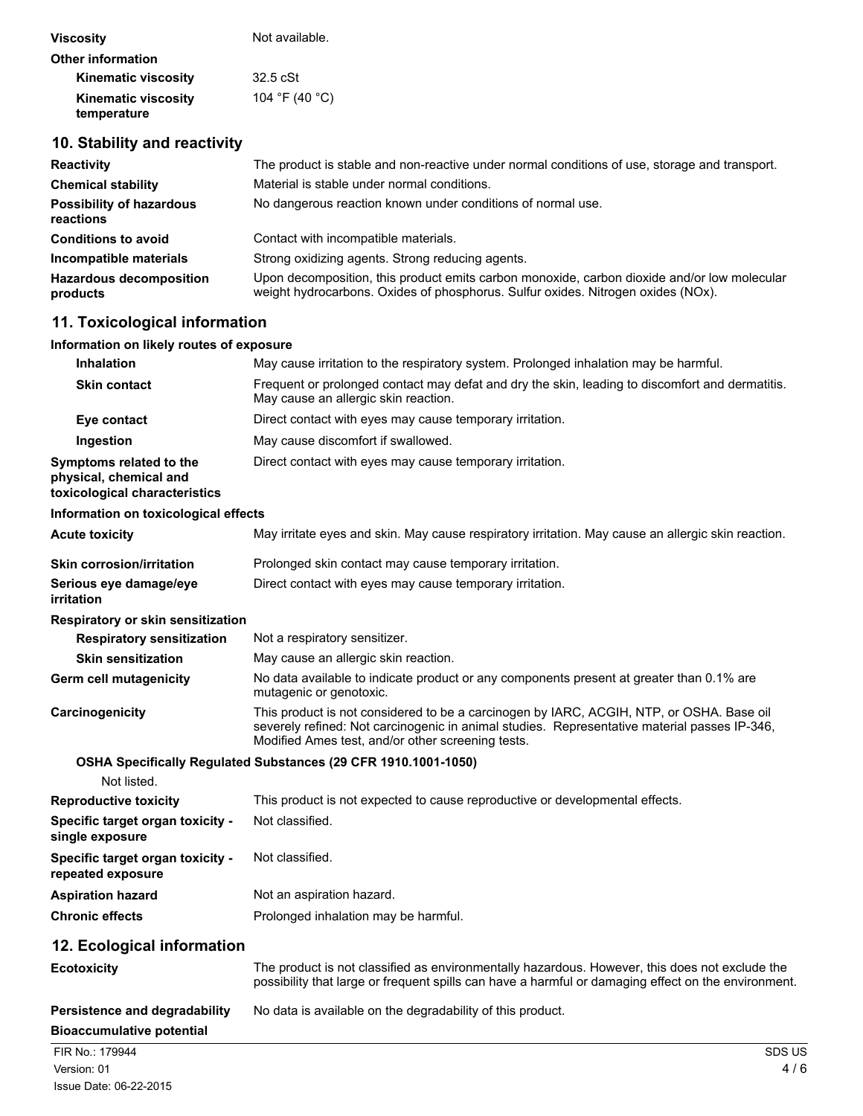| <b>Viscosity</b>                          | Not available. |
|-------------------------------------------|----------------|
| <b>Other information</b>                  |                |
| <b>Kinematic viscosity</b>                | $32.5$ cSt     |
| <b>Kinematic viscosity</b><br>temperature | 104 °F (40 °C) |

# **10. Stability and reactivity**

| <b>Reactivity</b>                            | The product is stable and non-reactive under normal conditions of use, storage and transport.                                                                                   |
|----------------------------------------------|---------------------------------------------------------------------------------------------------------------------------------------------------------------------------------|
| <b>Chemical stability</b>                    | Material is stable under normal conditions.                                                                                                                                     |
| <b>Possibility of hazardous</b><br>reactions | No dangerous reaction known under conditions of normal use.                                                                                                                     |
| <b>Conditions to avoid</b>                   | Contact with incompatible materials.                                                                                                                                            |
| Incompatible materials                       | Strong oxidizing agents. Strong reducing agents.                                                                                                                                |
| <b>Hazardous decomposition</b><br>products   | Upon decomposition, this product emits carbon monoxide, carbon dioxide and/or low molecular<br>weight hydrocarbons. Oxides of phosphorus. Sulfur oxides. Nitrogen oxides (NOx). |

# **11. Toxicological information**

#### **Information on likely routes of exposure**

| <b>Inhalation</b>                                                                  | May cause irritation to the respiratory system. Prolonged inhalation may be harmful.                                                    |
|------------------------------------------------------------------------------------|-----------------------------------------------------------------------------------------------------------------------------------------|
| <b>Skin contact</b>                                                                | Frequent or prolonged contact may defat and dry the skin, leading to discomfort and dermatitis.<br>May cause an allergic skin reaction. |
| Eye contact                                                                        | Direct contact with eyes may cause temporary irritation.                                                                                |
| Ingestion                                                                          | May cause discomfort if swallowed.                                                                                                      |
| Symptoms related to the<br>physical, chemical and<br>toxicological characteristics | Direct contact with eyes may cause temporary irritation.                                                                                |

#### **Information on toxicological effects**

| <b>Acute toxicity</b>                | May irritate eyes and skin. May cause respiratory irritation. May cause an allergic skin reaction. |
|--------------------------------------|----------------------------------------------------------------------------------------------------|
| <b>Skin corrosion/irritation</b>     | Prolonged skin contact may cause temporary irritation.                                             |
| Serious eye damage/eye<br>irritation | Direct contact with eyes may cause temporary irritation.                                           |

#### **Respiratory or skin sensitization**

| <b>Respiratory sensitization</b> | Not a respiratory sensitizer.                                                                                                                                                           |
|----------------------------------|-----------------------------------------------------------------------------------------------------------------------------------------------------------------------------------------|
| <b>Skin sensitization</b>        | May cause an allergic skin reaction.                                                                                                                                                    |
| <b>Germ cell mutagenicity</b>    | No data available to indicate product or any components present at greater than 0.1% are<br>mutagenic or genotoxic.                                                                     |
| Carcinogenicity                  | This product is not considered to be a carcinogen by IARC, ACGIH, NTP, or OSHA. Base oil<br>severely refined: Not carcinogenic in animal studies. Representative material passes IP-346 |

severely refined: Not carcinogenic in animal studies. Representative material passes IP-346, Modified Ames test, and/or other screening tests.

# **OSHA Specifically Regulated Substances (29 CFR 1910.1001-1050)**

| Not listed.                                           |                                                                              |
|-------------------------------------------------------|------------------------------------------------------------------------------|
| <b>Reproductive toxicity</b>                          | This product is not expected to cause reproductive or developmental effects. |
| Specific target organ toxicity -<br>single exposure   | Not classified.                                                              |
| Specific target organ toxicity -<br>repeated exposure | Not classified.                                                              |
| <b>Aspiration hazard</b>                              | Not an aspiration hazard.                                                    |
| <b>Chronic effects</b>                                | Prolonged inhalation may be harmful.                                         |

# **12. Ecological information**

| <b>12. ECOlogical Information</b>    |                                                                                                                                                                                                       |
|--------------------------------------|-------------------------------------------------------------------------------------------------------------------------------------------------------------------------------------------------------|
| <b>Ecotoxicity</b>                   | The product is not classified as environmentally hazardous. However, this does not exclude the<br>possibility that large or frequent spills can have a harmful or damaging effect on the environment. |
| <b>Persistence and degradability</b> | No data is available on the degradability of this product.                                                                                                                                            |
| <b>Bioaccumulative potential</b>     |                                                                                                                                                                                                       |
| FIR No.: 179944                      | <b>SDS US</b>                                                                                                                                                                                         |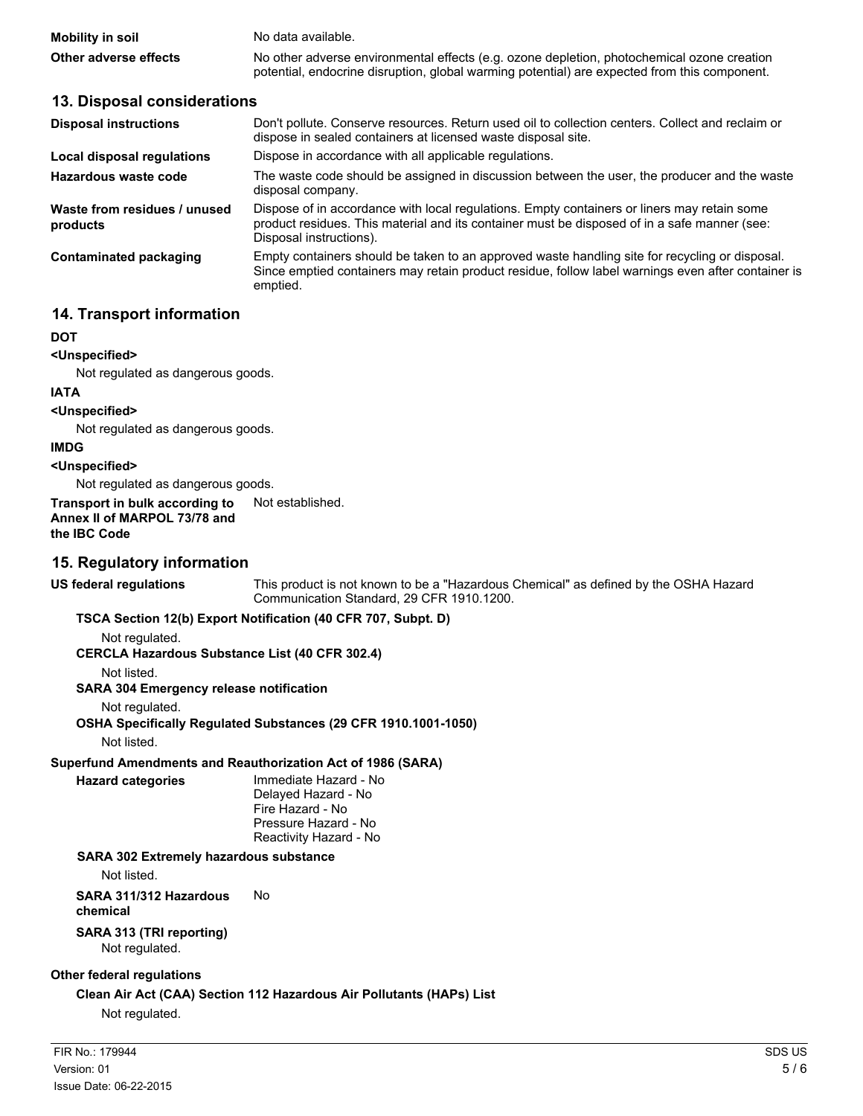| <b>Mobility in soil</b> | No data available.                                                                           |
|-------------------------|----------------------------------------------------------------------------------------------|
| Other adverse effects   | No other adverse environmental effects (e.g. ozone depletion, photochemical ozone creation   |
|                         | potential, endocrine disruption, global warming potential) are expected from this component. |

# **13. Disposal considerations**

| <b>Disposal instructions</b>             | Don't pollute. Conserve resources. Return used oil to collection centers. Collect and reclaim or<br>dispose in sealed containers at licensed waste disposal site.                                                      |
|------------------------------------------|------------------------------------------------------------------------------------------------------------------------------------------------------------------------------------------------------------------------|
| Local disposal regulations               | Dispose in accordance with all applicable regulations.                                                                                                                                                                 |
| Hazardous waste code                     | The waste code should be assigned in discussion between the user, the producer and the waste<br>disposal company.                                                                                                      |
| Waste from residues / unused<br>products | Dispose of in accordance with local regulations. Empty containers or liners may retain some<br>product residues. This material and its container must be disposed of in a safe manner (see:<br>Disposal instructions). |
| Contaminated packaging                   | Empty containers should be taken to an approved waste handling site for recycling or disposal.<br>Since emptied containers may retain product residue, follow label warnings even after container is<br>emptied.       |

# **14. Transport information**

#### **DOT**

**<Unspecified>**

Not regulated as dangerous goods.

#### **IATA**

**<Unspecified>**

Not regulated as dangerous goods.

#### **IMDG**

#### **<Unspecified>**

Not regulated as dangerous goods.

**Transport in bulk according to** Not established.

#### **Annex II of MARPOL 73/78 and the IBC Code**

# **15. Regulatory information**

**US federal regulations** This product is not known to be a "Hazardous Chemical" as defined by the OSHA Hazard Communication Standard, 29 CFR 1910.1200.

#### **TSCA Section 12(b) Export Notification (40 CFR 707, Subpt. D)**

Not regulated.

**CERCLA Hazardous Substance List (40 CFR 302.4)**

Not listed.

**SARA 304 Emergency release notification**

Not regulated.

# **OSHA Specifically Regulated Substances (29 CFR 1910.1001-1050)**

Not listed.

**Superfund Amendments and Reauthorization Act of 1986 (SARA)**

**Hazard categories** Immediate Hazard - No Delayed Hazard - No Fire Hazard - No Pressure Hazard - No Reactivity Hazard - No

# **SARA 302 Extremely hazardous substance**

Not listed.

**SARA 311/312 Hazardous chemical** No

**SARA 313 (TRI reporting)** Not regulated.

# **Other federal regulations**

**Clean Air Act (CAA) Section 112 Hazardous Air Pollutants (HAPs) List**

Not regulated.